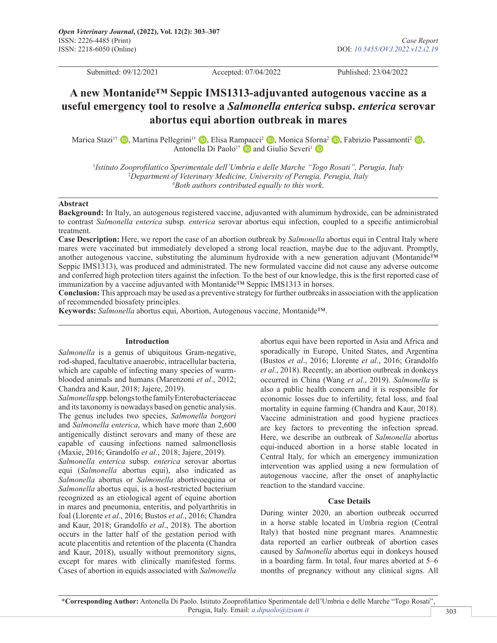Submitted: 09/12/2021 Accepted: 07/04/2022 Published: 23/04/2022

# **A new Montanide™ Seppic IMS1313-adjuvanted autogenous vaccine as a useful emergency tool to resolve a** *Salmonella enterica* **subsp.** *enterica* **serovar abortus equi abortion outbreak in mares**

Marica Stazi<sup>1†</sup> **D**[,](https://orcid.org/0000-0001-8773-838X) Martina Pellegrini<sup>1†</sup> **D**, Elisa Rampacci<sup>2</sup> **D**, Monica Sf[orna](https://orcid.org/0000-0003-4062-905X)<sup>2</sup> **D**, Fabrizio Passamonti<sup>2</sup> **D**, AntonellaDi Paolo<sup>1\*</sup> and Giulio Severi<sup>1</sup> D

1 *Istituto Zooprofilattico Sperimentale dell'Umbria e delle Marche "Togo Rosati", Perugia, Italy* 2 *Department of Veterinary Medicine, University of Perugia, Perugia, Italy* # *Both authors contributed equally to this work.*

#### **Abstract**

**Background:** In Italy, an autogenous registered vaccine, adjuvanted with aluminum hydroxide, can be administrated to contrast *Salmonella enterica* subsp*. enterica* serovar abortus equi infection, coupled to a specific antimicrobial treatment.

**Case Description:** Here, we report the case of an abortion outbreak by *Salmonella* abortus equi in Central Italy where mares were vaccinated but immediately developed a strong local reaction, maybe due to the adjuvant. Promptly, another autogenous vaccine, substituting the aluminum hydroxide with a new generation adjuvant (Montanide™ Seppic IMS1313), was produced and administrated. The new formulated vaccine did not cause any adverse outcome and conferred high protection titers against the infection. To the best of our knowledge, this is the first reported case of immunization by a vaccine adjuvanted with Montanide™ Seppic IMS1313 in horses.

**Conclusion:** This approach may be used as a preventive strategy for further outbreaks in association with the application of recommended biosafety principles.

**Keywords:** *Salmonella* abortus equi, Abortion, Autogenous vaccine, Montanide™.

#### **Introduction**

*Salmonella* is a genus of ubiquitous Gram-negative, rod-shaped, facultative anaerobic, intracellular bacteria, which are capable of infecting many species of warmblooded animals and humans (Marenzoni *et al*., 2012; Chandra and Kaur, 2018; Jajere, 2019).

*Salmonella* spp. belongs to the family Enterobacteriaceae and its taxonomy is nowadays based on genetic analysis. The genus includes two species, *Salmonella bongori* and *Salmonella enterica*, which have more than 2,600 antigenically distinct serovars and many of these are capable of causing infections named salmonellosis (Maxie, 2016; Grandolfo *et al*., 2018; Jajere, 2019).

*Salmonella enterica* subsp. *enterica* serovar abortus equi (*Salmonella* abortus equi), also indicated as *Salmonella* abortus or *Salmonella* abortivoequina or *Salmonella* abortus equi, is a host-restricted bacterium recognized as an etiological agent of equine abortion in mares and pneumonia, enteritis, and polyarthritis in foal (Llorente *et al*., 2016; Bustos *et al*., 2016; Chandra and Kaur, 2018; Grandolfo *et al*., 2018). The abortion occurs in the latter half of the gestation period with acute placentitis and retention of the placenta (Chandra and Kaur, 2018), usually without premonitory signs, except for mares with clinically manifested forms. Cases of abortion in equids associated with *Salmonella*  abortus equi have been reported in Asia and Africa and sporadically in Europe, United States, and Argentina (Bustos *et al*., 2016; Llorente *et al*., 2016; Grandolfo *et al*., 2018). Recently, an abortion outbreak in donkeys occurred in China (Wang *et al*., 2019). *Salmonella* is also a public health concern and it is responsible for economic losses due to infertility, fetal loss, and foal mortality in equine farming (Chandra and Kaur, 2018). Vaccine administration and good hygiene practices are key factors to preventing the infection spread. Here, we describe an outbreak of *Salmonella* abortus equi-induced abortion in a horse stable located in Central Italy, for which an emergency immunization intervention was applied using a new formulation of autogenous vaccine, after the onset of anaphylactic reaction to the standard vaccine.

## **Case Details**

During winter 2020, an abortion outbreak occurred in a horse stable located in Umbria region (Central Italy) that hosted nine pregnant mares. Anamnestic data reported an earlier outbreak of abortion cases caused by *Salmonella* abortus equi in donkeys housed in a boarding farm. In total, four mares aborted at 5–6 months of pregnancy without any clinical signs. All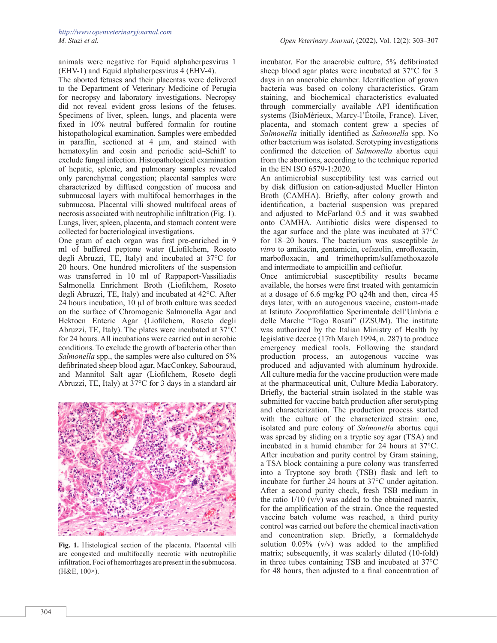animals were negative for Equid alphaherpesvirus 1 (EHV-1) and Equid alphaherpesvirus 4 (EHV-4).

The aborted fetuses and their placentas were delivered to the Department of Veterinary Medicine of Perugia for necropsy and laboratory investigations. Necropsy did not reveal evident gross lesions of the fetuses. Specimens of liver, spleen, lungs, and placenta were fixed in 10% neutral buffered formalin for routine histopathological examination. Samples were embedded in paraffin, sectioned at 4 μm, and stained with hematoxylin and eosin and periodic acid–Schiff to exclude fungal infection. Histopathological examination of hepatic, splenic, and pulmonary samples revealed only parenchymal congestion; placental samples were characterized by diffused congestion of mucosa and submucosal layers with multifocal hemorrhages in the submucosa. Placental villi showed multifocal areas of necrosis associated with neutrophilic infiltration (Fig. 1). Lungs, liver, spleen, placenta, and stomach content were collected for bacteriological investigations.

One gram of each organ was first pre-enriched in 9 ml of buffered peptone water (Liofilchem, Roseto degli Abruzzi, TE, Italy) and incubated at 37°C for 20 hours. One hundred microliters of the suspension was transferred in 10 ml of Rappaport-Vassiliadis Salmonella Enrichment Broth (Liofilchem, Roseto degli Abruzzi, TE, Italy) and incubated at 42°C. After 24 hours incubation, 10 µl of broth culture was seeded on the surface of Chromogenic Salmonella Agar and Hektoen Enteric Agar (Liofilchem, Roseto degli Abruzzi, TE, Italy). The plates were incubated at 37°C for 24 hours. All incubations were carried out in aerobic conditions. To exclude the growth of bacteria other than *Salmonella* spp., the samples were also cultured on 5% defibrinated sheep blood agar, MacConkey, Sabouraud, and Mannitol Salt agar (Liofilchem, Roseto degli Abruzzi, TE, Italy) at 37°C for 3 days in a standard air



**Fig. 1.** Histological section of the placenta. Placental villi are congested and multifocally necrotic with neutrophilic infiltration. Foci of hemorrhages are present in the submucosa. (H&E, 100×).

incubator. For the anaerobic culture, 5% defibrinated sheep blood agar plates were incubated at 37°C for 3 days in an anaerobic chamber. Identification of grown bacteria was based on colony characteristics, Gram staining, and biochemical characteristics evaluated through commercially available API identification systems (BioMérieux, Marcy-l'Étoile, France). Liver, placenta, and stomach content grew a species of *Salmonella* initially identified as *Salmonella* spp. No other bacterium was isolated. Serotyping investigations confirmed the detection of *Salmonella* abortus equi from the abortions, according to the technique reported in the EN ISO 6579-1:2020.

An antimicrobial susceptibility test was carried out by disk diffusion on cation-adjusted Mueller Hinton Broth (CAMHA). Briefly, after colony growth and identification, a bacterial suspension was prepared and adjusted to McFarland 0.5 and it was swabbed onto CAMHA. Antibiotic disks were dispensed to the agar surface and the plate was incubated at 37°C for 18–20 hours. The bacterium was susceptible *in vitro* to amikacin, gentamicin, cefazolin, enrofloxacin, marbofloxacin, and trimethoprim/sulfamethoxazole and intermediate to ampicillin and ceftiofur.

Once antimicrobial susceptibility results became available, the horses were first treated with gentamicin at a dosage of 6.6 mg/kg PO q24h and then, circa 45 days later, with an autogenous vaccine, custom-made at Istituto Zooprofilattico Sperimentale dell'Umbria e delle Marche "Togo Rosati" (IZSUM). The institute was authorized by the Italian Ministry of Health by legislative decree (17th March 1994, n. 287) to produce emergency medical tools. Following the standard production process, an autogenous vaccine was produced and adjuvanted with aluminum hydroxide. All culture media for the vaccine production were made at the pharmaceutical unit, Culture Media Laboratory. Briefly, the bacterial strain isolated in the stable was submitted for vaccine batch production after serotyping and characterization. The production process started with the culture of the characterized strain: one, isolated and pure colony of *Salmonella* abortus equi was spread by sliding on a tryptic soy agar (TSA) and incubated in a humid chamber for 24 hours at 37°C. After incubation and purity control by Gram staining, a TSA block containing a pure colony was transferred into a Tryptone soy broth (TSB) flask and left to incubate for further 24 hours at 37°C under agitation. After a second purity check, fresh TSB medium in the ratio  $1/10$  (v/v) was added to the obtained matrix, for the amplification of the strain. Once the requested vaccine batch volume was reached, a third purity control was carried out before the chemical inactivation and concentration step. Briefly, a formaldehyde solution 0.05% (v/v) was added to the amplified matrix; subsequently, it was scalarly diluted (10-fold) in three tubes containing TSB and incubated at 37°C for 48 hours, then adjusted to a final concentration of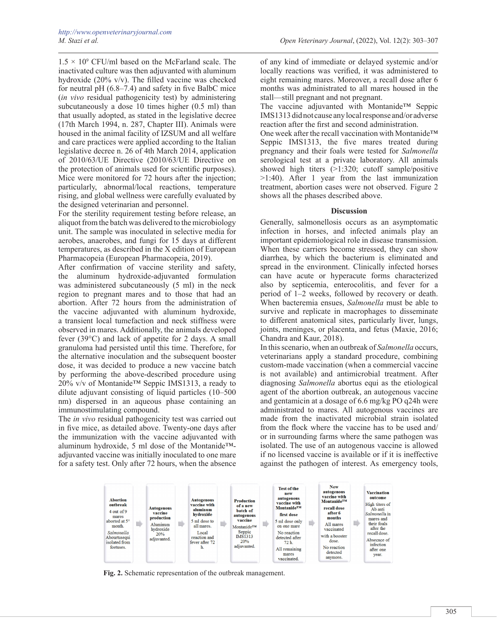$1.5 \times 10^9$  CFU/ml based on the McFarland scale. The inactivated culture was then adjuvanted with aluminum hydroxide (20% v/v). The filled vaccine was checked for neutral pH (6.8–7.4) and safety in five BalbC mice (*in vivo* residual pathogenicity test) by administering subcutaneously a dose 10 times higher  $(0.5 \text{ ml})$  than that usually adopted, as stated in the legislative decree (17th March 1994, n. 287, Chapter III). Animals were housed in the animal facility of IZSUM and all welfare and care practices were applied according to the Italian legislative decree n. 26 of 4th March 2014, application of 2010/63/UE Directive (2010/63/UE Directive on the protection of animals used for scientific purposes). Mice were monitored for 72 hours after the injection; particularly, abnormal/local reactions, temperature rising, and global wellness were carefully evaluated by the designed veterinarian and personnel.

For the sterility requirement testing before release, an aliquot from the batch was delivered to the microbiology unit. The sample was inoculated in selective media for aerobes, anaerobes, and fungi for 15 days at different temperatures, as described in the X edition of European Pharmacopeia (European Pharmacopeia, 2019).

After confirmation of vaccine sterility and safety, the aluminum hydroxide-adjuvanted formulation was administered subcutaneously (5 ml) in the neck region to pregnant mares and to those that had an abortion. After 72 hours from the administration of the vaccine adjuvanted with aluminum hydroxide, a transient local tumefaction and neck stiffness were observed in mares. Additionally, the animals developed fever (39°C) and lack of appetite for 2 days. A small granuloma had persisted until this time. Therefore, for the alternative inoculation and the subsequent booster dose, it was decided to produce a new vaccine batch by performing the above-described procedure using 20% v/v of Montanide<sup>TM</sup> Seppic IMS1313, a ready to dilute adjuvant consisting of liquid particles (10–500 nm) dispersed in an aqueous phase containing an immunostimulating compound.

The *in vivo* residual pathogenicity test was carried out in five mice, as detailed above. Twenty-one days after the immunization with the vaccine adjuvanted with aluminum hydroxide, 5 ml dose of the Montanide™ adjuvanted vaccine was initially inoculated to one mare for a safety test. Only after 72 hours, when the absence

of any kind of immediate or delayed systemic and/or locally reactions was verified, it was administered to eight remaining mares. Moreover, a recall dose after 6 months was administrated to all mares housed in the stall—still pregnant and not pregnant.

The vaccine adjuvanted with Montanide™ Seppic IMS1313 did not cause any local response and/or adverse reaction after the first and second administration.

One week after the recall vaccination with Montanide™ Seppic IMS1313, the five mares treated during pregnancy and their foals were tested for *Salmonella* serological test at a private laboratory. All animals showed high titers (>1:320; cutoff sample/positive >1:40). After 1 year from the last immunization treatment, abortion cases were not observed. Figure 2 shows all the phases described above.

#### **Discussion**

Generally, salmonellosis occurs as an asymptomatic infection in horses, and infected animals play an important epidemiological role in disease transmission. When these carriers become stressed, they can show diarrhea, by which the bacterium is eliminated and spread in the environment. Clinically infected horses can have acute or hyperacute forms characterized also by septicemia, enterocolitis, and fever for a period of 1–2 weeks, followed by recovery or death. When bacteremia ensues, *Salmonella* must be able to survive and replicate in macrophages to disseminate to different anatomical sites, particularly liver, lungs, joints, meninges, or placenta, and fetus (Maxie, 2016; Chandra and Kaur, 2018).

In this scenario, when an outbreak of *Salmonella* occurs, veterinarians apply a standard procedure, combining custom-made vaccination (when a commercial vaccine is not available) and antimicrobial treatment. After diagnosing *Salmonella* abortus equi as the etiological agent of the abortion outbreak, an autogenous vaccine and gentamicin at a dosage of 6.6 mg/kg PO q24h were administrated to mares. All autogenous vaccines are made from the inactivated microbial strain isolated from the flock where the vaccine has to be used and/ or in surrounding farms where the same pathogen was isolated. The use of an autogenous vaccine is allowed if no licensed vaccine is available or if it is ineffective against the pathogen of interest. As emergency tools,



**Fig. 2.** Schematic representation of the outbreak management.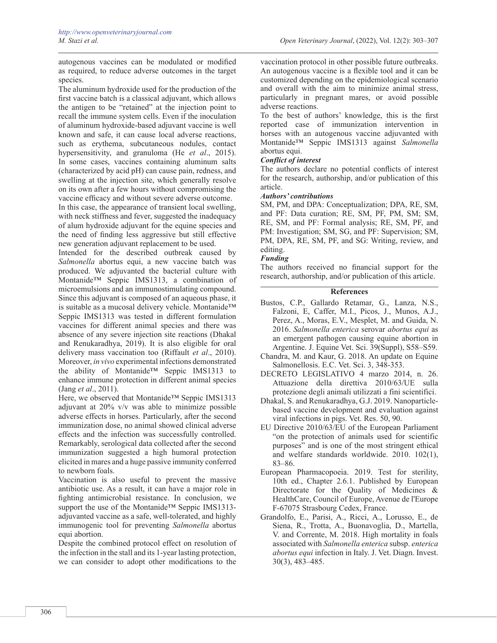autogenous vaccines can be modulated or modified as required, to reduce adverse outcomes in the target species.

The aluminum hydroxide used for the production of the first vaccine batch is a classical adjuvant, which allows the antigen to be "retained" at the injection point to recall the immune system cells. Even if the inoculation of aluminum hydroxide-based adjuvant vaccine is well known and safe, it can cause local adverse reactions, such as erythema, subcutaneous nodules, contact hypersensitivity, and granuloma (He *et al*., 2015). In some cases, vaccines containing aluminum salts (characterized by acid pH) can cause pain, redness, and swelling at the injection site, which generally resolve on its own after a few hours without compromising the vaccine efficacy and without severe adverse outcome.

In this case, the appearance of transient local swelling, with neck stiffness and fever, suggested the inadequacy of alum hydroxide adjuvant for the equine species and the need of finding less aggressive but still effective new generation adjuvant replacement to be used.

Intended for the described outbreak caused by *Salmonella* abortus equi, a new vaccine batch was produced. We adjuvanted the bacterial culture with Montanide™ Seppic IMS1313, a combination of microemulsions and an immunostimulating compound. Since this adjuvant is composed of an aqueous phase, it is suitable as a mucosal delivery vehicle. Montanide™ Seppic IMS1313 was tested in different formulation vaccines for different animal species and there was absence of any severe injection site reactions (Dhakal and Renukaradhya, 2019). It is also eligible for oral delivery mass vaccination too (Riffault *et al*., 2010). Moreover, *in vivo* experimental infections demonstrated the ability of Montanide™ Seppic IMS1313 to enhance immune protection in different animal species (Jang *et al*., 2011).

Here, we observed that Montanide<sup>™</sup> Seppic IMS1313 adjuvant at 20% v/v was able to minimize possible adverse effects in horses. Particularly, after the second immunization dose, no animal showed clinical adverse effects and the infection was successfully controlled. Remarkably, serological data collected after the second immunization suggested a high humoral protection elicited in mares and a huge passive immunity conferred to newborn foals.

Vaccination is also useful to prevent the massive antibiotic use. As a result, it can have a major role in fighting antimicrobial resistance. In conclusion, we support the use of the Montanide™ Seppic IMS1313adjuvanted vaccine as a safe, well-tolerated, and highly immunogenic tool for preventing *Salmonella* abortus equi abortion.

Despite the combined protocol effect on resolution of the infection in the stall and its 1-year lasting protection, we can consider to adopt other modifications to the

vaccination protocol in other possible future outbreaks. An autogenous vaccine is a flexible tool and it can be customized depending on the epidemiological scenario and overall with the aim to minimize animal stress, particularly in pregnant mares, or avoid possible adverse reactions.

To the best of authors' knowledge, this is the first reported case of immunization intervention in horses with an autogenous vaccine adjuvanted with Montanide™ Seppic IMS1313 against *Salmonella*  abortus equi.

# *Conflict of interest*

The authors declare no potential conflicts of interest for the research, authorship, and/or publication of this article.

## *Authors' contributions*

SM, PM, and DPA: Conceptualization; DPA, RE, SM, and PF: Data curation; RE, SM, PF, PM, SM; SM, RE, SM, and PF: Formal analysis; RE, SM, PF, and PM: Investigation; SM, SG, and PF: Supervision; SM, PM, DPA, RE, SM, PF, and SG: Writing, review, and editing.

# *Funding*

The authors received no financial support for the research, authorship, and/or publication of this article.

## **References**

- Bustos, C.P., Gallardo Retamar, G., Lanza, N.S., Falzoni, E, Caffer, M.I., Picos, J., Munos, A.J., Perez, A., Moras, E.V., Mesplet, M. and Guida, N. 2016. *Salmonella enterica* serovar *abortus equi* as an emergent pathogen causing equine abortion in Argentine. J. Equine Vet. Sci. 39(Suppl), S58–S59.
- Chandra, M. and Kaur, G. 2018. An update on Equine Salmonellosis. E.C. Vet. Sci. 3, 348-353.
- DECRETO LEGISLATIVO 4 marzo 2014, n. 26. Attuazione della direttiva 2010/63/UE sulla protezione degli animali utilizzati a fini scientifici.
- Dhakal, S. and Renukaradhya, G.J. 2019. Nanoparticlebased vaccine development and evaluation against viral infections in pigs. Vet. Res. 50, 90.
- EU Directive 2010/63/EU of the European Parliament "on the protection of animals used for scientific purposes" and is one of the most stringent ethical and welfare standards worldwide. 2010. 102(1), 83–86.
- European Pharmacopoeia. 2019. Test for sterility, 10th ed., Chapter 2.6.1. Published by European Directorate for the Quality of Medicines & HealthCare, Council of Europe, Avenue de l'Europe F-67075 Strasbourg Cedex, France.
- Grandolfo, E., Parisi, A., Ricci, A., Lorusso, E., de Siena, R., Trotta, A., Buonavoglia, D., Martella, V. and Corrente, M. 2018. High mortality in foals associated with *Salmonella enterica* subsp. *enterica abortus equi* infection in Italy. J. Vet. Diagn. Invest. 30(3), 483–485.